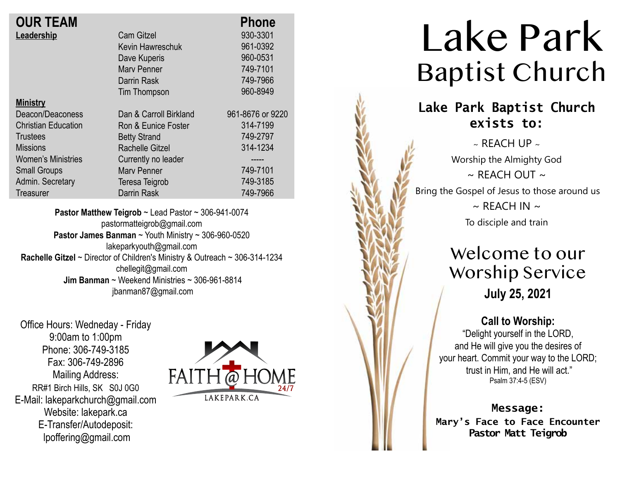| <b>OUR TEAM</b>            |                        | <b>Phone</b>     |
|----------------------------|------------------------|------------------|
| Leadership                 | <b>Cam Gitzel</b>      | 930-3301         |
|                            | Kevin Hawreschuk       | 961-0392         |
|                            | Dave Kuperis           | 960-0531         |
|                            | <b>Mary Penner</b>     | 749-7101         |
|                            | Darrin Rask            | 749-7966         |
|                            | Tim Thompson           | 960-8949         |
| <b>Ministry</b>            |                        |                  |
| Deacon/Deaconess           | Dan & Carroll Birkland | 961-8676 or 9220 |
| <b>Christian Education</b> | Ron & Eunice Foster    | 314-7199         |
| <b>Trustees</b>            | <b>Betty Strand</b>    | 749-2797         |
| <b>Missions</b>            | Rachelle Gitzel        | 314-1234         |
| <b>Women's Ministries</b>  | Currently no leader    | ------           |
| <b>Small Groups</b>        | <b>Mary Penner</b>     | 749-7101         |
| Admin. Secretary           | Teresa Teigrob         | 749-3185         |
| <b>Treasurer</b>           | <b>Darrin Rask</b>     | 749-7966         |
|                            |                        |                  |

**Pastor Matthew Teigrob** ~ Lead Pastor ~ 306-941-0074 pastormatteigrob@gmail.com **Pastor James Banman** ~ Youth Ministry ~ 306-960-0520 lakeparkyouth@gmail.com **Rachelle Gitzel** ~ Director of Children's Ministry & Outreach ~ 306-314-1234 chellegit@gmail.com  **Jim Banman** ~ Weekend Ministries ~ 306-961-8814 jbanman87@gmail.com

Office Hours: Wedneday - Friday 9:00am to 1:00pm Phone: 306-749-3185 Fax: 306-749-2896 Mailing Address: RR#1 Birch Hills, SK S0J 0G0 E-Mail: lakeparkchurch@gmail.com Website: lakepark.ca E-Transfer/Autodeposit: lpoffering@gmail.com



# Lake Park Baptist Church

### **Lake Park Baptist Church exists to:**

 $\sim$  REACH UP  $\sim$ Worship the Almighty God  $\sim$  RFACH OUT  $\sim$ Bring the Gospel of Jesus to those around us  $\sim$  REACH IN  $\sim$ To disciple and train

## Welcome to our Worship Service **July 25, 2021**

#### **Call to Worship:**

"Delight yourself in the LORD, and He will give you the desires of your heart. Commit your way to the LORD; trust in Him, and He will act." Psalm 37:4-5 (ESV)

**Message:**

**Mary's Face to Face Encounter Pastor Matt Teigrob**